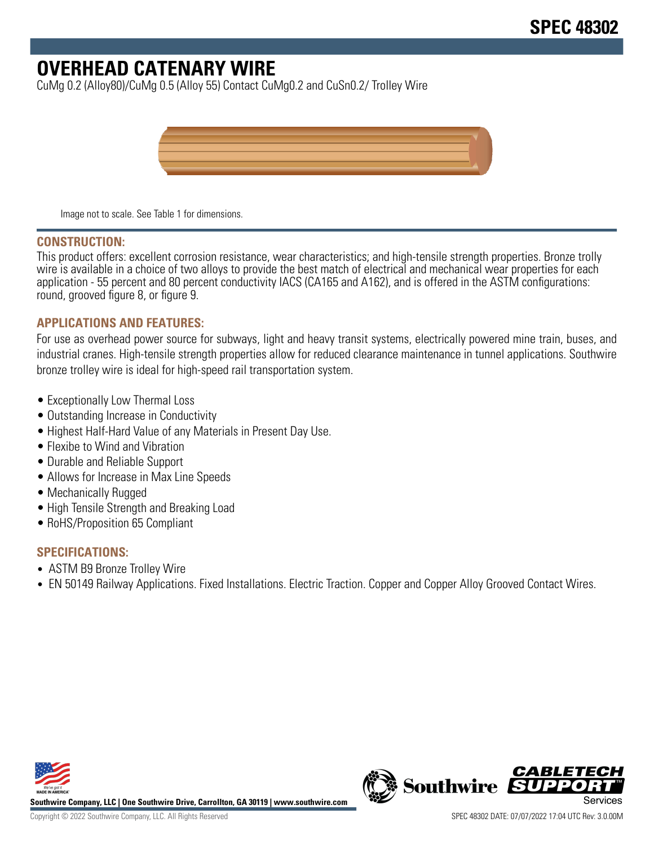# **OVERHEAD CATENARY WIRE**

CuMg 0.2 (Alloy80)/CuMg 0.5 (Alloy 55) Contact CuMg0.2 and CuSn0.2/ Trolley Wire



Image not to scale. See Table 1 for dimensions.

#### **CONSTRUCTION:**

This product offers: excellent corrosion resistance, wear characteristics; and high-tensile strength properties. Bronze trolly wire is available in a choice of two alloys to provide the best match of electrical and mechanical wear properties for each application - 55 percent and 80 percent conductivity IACS (CA165 and A162), and is offered in the ASTM configurations: round, grooved figure 8, or figure 9.

## **APPLICATIONS AND FEATURES:**

For use as overhead power source for subways, light and heavy transit systems, electrically powered mine train, buses, and industrial cranes. High-tensile strength properties allow for reduced clearance maintenance in tunnel applications. Southwire bronze trolley wire is ideal for high-speed rail transportation system.

- Exceptionally Low Thermal Loss
- Outstanding Increase in Conductivity
- Highest Half-Hard Value of any Materials in Present Day Use.
- Flexibe to Wind and Vibration
- Durable and Reliable Support
- Allows for Increase in Max Line Speeds
- Mechanically Rugged
- High Tensile Strength and Breaking Load
- RoHS/Proposition 65 Compliant

## **SPECIFICATIONS:**

- ASTM B9 Bronze Trolley Wire
- EN 50149 Railway Applications. Fixed Installations. Electric Traction. Copper and Copper Alloy Grooved Contact Wires.



**Southwire Company, LLC | One Southwire Drive, Carrollton, GA 30119 | www.southwire.com**